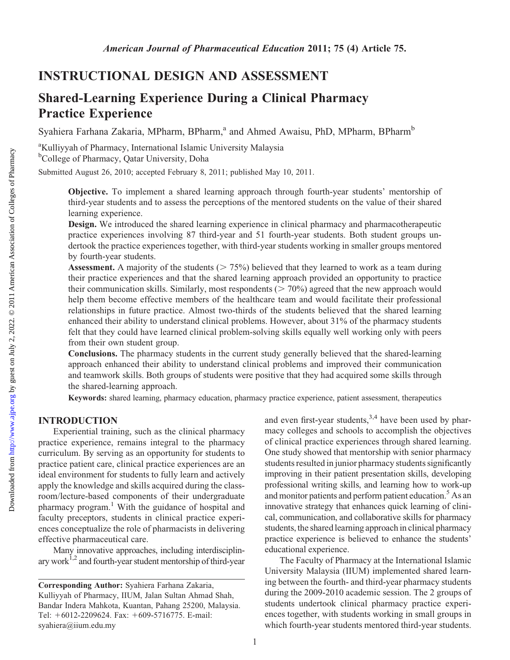# INSTRUCTIONAL DESIGN AND ASSESSMENT

# Shared-Learning Experience During a Clinical Pharmacy Practice Experience

Syahiera Farhana Zakaria, MPharm, BPharm,<sup>a</sup> and Ahmed Awaisu, PhD, MPharm, BPharm<sup>b</sup>

<sup>a</sup>Kulliyyah of Pharmacy, International Islamic University Malaysia b College of Pharmacy, Qatar University, Doha

Submitted August 26, 2010; accepted February 8, 2011; published May 10, 2011.

Objective. To implement a shared learning approach through fourth-year students' mentorship of third-year students and to assess the perceptions of the mentored students on the value of their shared learning experience.

Design. We introduced the shared learning experience in clinical pharmacy and pharmacotherapeutic practice experiences involving 87 third-year and 51 fourth-year students. Both student groups undertook the practice experiences together, with third-year students working in smaller groups mentored by fourth-year students.

**Assessment.** A majority of the students ( $> 75\%$ ) believed that they learned to work as a team during their practice experiences and that the shared learning approach provided an opportunity to practice their communication skills. Similarly, most respondents  $($  > 70%) agreed that the new approach would help them become effective members of the healthcare team and would facilitate their professional relationships in future practice. Almost two-thirds of the students believed that the shared learning enhanced their ability to understand clinical problems. However, about 31% of the pharmacy students felt that they could have learned clinical problem-solving skills equally well working only with peers from their own student group.

Conclusions. The pharmacy students in the current study generally believed that the shared-learning approach enhanced their ability to understand clinical problems and improved their communication and teamwork skills. Both groups of students were positive that they had acquired some skills through the shared-learning approach.

Keywords: shared learning, pharmacy education, pharmacy practice experience, patient assessment, therapeutics

## INTRODUCTION

Experiential training, such as the clinical pharmacy practice experience, remains integral to the pharmacy curriculum. By serving as an opportunity for students to practice patient care, clinical practice experiences are an ideal environment for students to fully learn and actively apply the knowledge and skills acquired during the classroom/lecture-based components of their undergraduate pharmacy program.<sup>1</sup> With the guidance of hospital and faculty preceptors, students in clinical practice experiences conceptualize the role of pharmacists in delivering effective pharmaceutical care.

Many innovative approaches, including interdisciplinary work<sup> $1,2$ </sup> and fourth-year student mentorship of third-year and even first-year students,  $3,4$  have been used by pharmacy colleges and schools to accomplish the objectives of clinical practice experiences through shared learning. One study showed that mentorship with senior pharmacy students resulted in junior pharmacy students significantly improving in their patient presentation skills, developing professional writing skills, and learning how to work-up and monitor patients and perform patient education.<sup>5</sup> As an innovative strategy that enhances quick learning of clinical, communication, and collaborative skills for pharmacy students, the shared learning approach in clinical pharmacy practice experience is believed to enhance the students' educational experience.

The Faculty of Pharmacy at the International Islamic University Malaysia (IIUM) implemented shared learning between the fourth- and third-year pharmacy students during the 2009-2010 academic session. The 2 groups of students undertook clinical pharmacy practice experiences together, with students working in small groups in which fourth-year students mentored third-year students.

Corresponding Author: Syahiera Farhana Zakaria, Kulliyyah of Pharmacy, IIUM, Jalan Sultan Ahmad Shah, Bandar Indera Mahkota, Kuantan, Pahang 25200, Malaysia. Tel: +6012-2209624. Fax: +609-5716775. E-mail: syahiera@iium.edu.my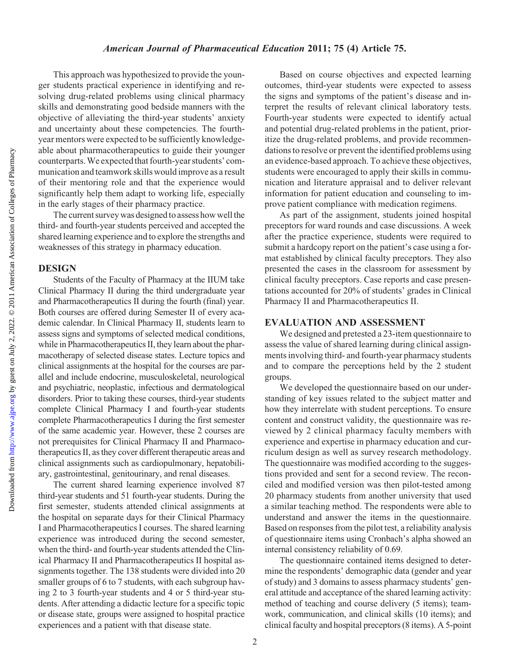Downloaded from

#### American Journal of Pharmaceutical Education 2011; 75 (4) Article 75.

This approach was hypothesized to provide the younger students practical experience in identifying and resolving drug-related problems using clinical pharmacy skills and demonstrating good bedside manners with the objective of alleviating the third-year students' anxiety and uncertainty about these competencies. The fourthyear mentors were expected to be sufficiently knowledgeable about pharmacotherapeutics to guide their younger counterparts. We expected that fourth-year students' communication and teamwork skills would improve as a result of their mentoring role and that the experience would significantly help them adapt to working life, especially in the early stages of their pharmacy practice.

The current survey was designed to assess how well the third- and fourth-year students perceived and accepted the shared learning experience and to explore the strengths and weaknesses of this strategy in pharmacy education.

#### DESIGN

Students of the Faculty of Pharmacy at the IIUM take Clinical Pharmacy II during the third undergraduate year and Pharmacotherapeutics II during the fourth (final) year. Both courses are offered during Semester II of every academic calendar. In Clinical Pharmacy II, students learn to assess signs and symptoms of selected medical conditions, while in Pharmacotherapeutics II, they learn about the pharmacotherapy of selected disease states. Lecture topics and clinical assignments at the hospital for the courses are parallel and include endocrine, musculoskeletal, neurological and psychiatric, neoplastic, infectious and dermatological disorders. Prior to taking these courses, third-year students complete Clinical Pharmacy I and fourth-year students complete Pharmacotherapeutics I during the first semester of the same academic year. However, these 2 courses are not prerequisites for Clinical Pharmacy II and Pharmacotherapeutics II, as they cover different therapeutic areas and clinical assignments such as cardiopulmonary, hepatobiliary, gastrointestinal, genitourinary, and renal diseases.

The current shared learning experience involved 87 third-year students and 51 fourth-year students. During the first semester, students attended clinical assignments at the hospital on separate days for their Clinical Pharmacy I and Pharmacotherapeutics I courses. The shared learning experience was introduced during the second semester, when the third- and fourth-year students attended the Clinical Pharmacy II and Pharmacotherapeutics II hospital assignments together. The 138 students were divided into 20 smaller groups of 6 to 7 students, with each subgroup having 2 to 3 fourth-year students and 4 or 5 third-year students. After attending a didactic lecture for a specific topic or disease state, groups were assigned to hospital practice experiences and a patient with that disease state.

Based on course objectives and expected learning outcomes, third-year students were expected to assess the signs and symptoms of the patient's disease and interpret the results of relevant clinical laboratory tests. Fourth-year students were expected to identify actual and potential drug-related problems in the patient, prioritize the drug-related problems, and provide recommendations to resolve or prevent the identified problems using an evidence-based approach. To achieve these objectives, students were encouraged to apply their skills in communication and literature appraisal and to deliver relevant information for patient education and counseling to improve patient compliance with medication regimens.

As part of the assignment, students joined hospital preceptors for ward rounds and case discussions. A week after the practice experience, students were required to submit a hardcopy report on the patient's case using a format established by clinical faculty preceptors. They also presented the cases in the classroom for assessment by clinical faculty preceptors. Case reports and case presentations accounted for 20% of students' grades in Clinical Pharmacy II and Pharmacotherapeutics II.

## EVALUATION AND ASSESSMENT

We designed and pretested a 23-item questionnaire to assess the value of shared learning during clinical assignments involving third- and fourth-year pharmacy students and to compare the perceptions held by the 2 student groups.

We developed the questionnaire based on our understanding of key issues related to the subject matter and how they interrelate with student perceptions. To ensure content and construct validity, the questionnaire was reviewed by 2 clinical pharmacy faculty members with experience and expertise in pharmacy education and curriculum design as well as survey research methodology. The questionnaire was modified according to the suggestions provided and sent for a second review. The reconciled and modified version was then pilot-tested among 20 pharmacy students from another university that used a similar teaching method. The respondents were able to understand and answer the items in the questionnaire. Based on responses from the pilot test, a reliability analysis of questionnaire items using Cronbach's alpha showed an internal consistency reliability of 0.69.

The questionnaire contained items designed to determine the respondents' demographic data (gender and year of study) and 3 domains to assess pharmacy students' general attitude and acceptance of the shared learning activity: method of teaching and course delivery (5 items); teamwork, communication, and clinical skills (10 items); and clinical faculty and hospital preceptors (8 items). A 5-point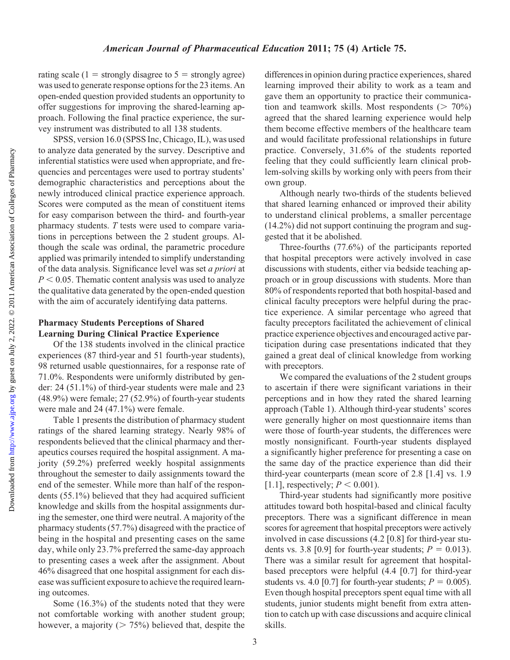Downloaded from

rating scale (1 = strongly disagree to  $5$  = strongly agree) was used to generate response options for the 23 items. An open-ended question provided students an opportunity to offer suggestions for improving the shared-learning approach. Following the final practice experience, the survey instrument was distributed to all 138 students.

SPSS, version 16.0 (SPSS Inc, Chicago, IL), was used to analyze data generated by the survey. Descriptive and inferential statistics were used when appropriate, and frequencies and percentages were used to portray students' demographic characteristics and perceptions about the newly introduced clinical practice experience approach. Scores were computed as the mean of constituent items for easy comparison between the third- and fourth-year pharmacy students. T tests were used to compare variations in perceptions between the 2 student groups. Although the scale was ordinal, the parametric procedure applied was primarily intended to simplify understanding of the data analysis. Significance level was set a priori at  $P < 0.05$ . Thematic content analysis was used to analyze the qualitative data generated by the open-ended question with the aim of accurately identifying data patterns.

# Pharmacy Students Perceptions of Shared Learning During Clinical Practice Experience

Of the 138 students involved in the clinical practice experiences (87 third-year and 51 fourth-year students), 98 returned usable questionnaires, for a response rate of 71.0%. Respondents were uniformly distributed by gender: 24 (51.1%) of third-year students were male and 23 (48.9%) were female; 27 (52.9%) of fourth-year students were male and 24 (47.1%) were female.

Table 1 presents the distribution of pharmacy student ratings of the shared learning strategy. Nearly 98% of respondents believed that the clinical pharmacy and therapeutics courses required the hospital assignment. A majority (59.2%) preferred weekly hospital assignments throughout the semester to daily assignments toward the end of the semester. While more than half of the respondents (55.1%) believed that they had acquired sufficient knowledge and skills from the hospital assignments during the semester, one third were neutral. A majority of the pharmacy students (57.7%) disagreed with the practice of being in the hospital and presenting cases on the same day, while only 23.7% preferred the same-day approach to presenting cases a week after the assignment. About 46% disagreed that one hospital assignment for each disease was sufficient exposure to achieve the required learning outcomes.

Some (16.3%) of the students noted that they were not comfortable working with another student group; however, a majority ( $> 75\%$ ) believed that, despite the differences in opinion during practice experiences, shared learning improved their ability to work as a team and gave them an opportunity to practice their communication and teamwork skills. Most respondents  $(2.70\%)$ agreed that the shared learning experience would help them become effective members of the healthcare team and would facilitate professional relationships in future practice. Conversely, 31.6% of the students reported feeling that they could sufficiently learn clinical problem-solving skills by working only with peers from their own group.

Although nearly two-thirds of the students believed that shared learning enhanced or improved their ability to understand clinical problems, a smaller percentage (14.2%) did not support continuing the program and suggested that it be abolished.

Three-fourths (77.6%) of the participants reported that hospital preceptors were actively involved in case discussions with students, either via bedside teaching approach or in group discussions with students. More than 80% of respondents reported that both hospital-based and clinical faculty preceptors were helpful during the practice experience. A similar percentage who agreed that faculty preceptors facilitated the achievement of clinical practice experience objectives and encouraged active participation during case presentations indicated that they gained a great deal of clinical knowledge from working with preceptors.

We compared the evaluations of the 2 student groups to ascertain if there were significant variations in their perceptions and in how they rated the shared learning approach (Table 1). Although third-year students' scores were generally higher on most questionnaire items than were those of fourth-year students, the differences were mostly nonsignificant. Fourth-year students displayed a significantly higher preference for presenting a case on the same day of the practice experience than did their third-year counterparts (mean score of 2.8 [1.4] vs. 1.9 [1.1], respectively;  $P < 0.001$ ).

Third-year students had significantly more positive attitudes toward both hospital-based and clinical faculty preceptors. There was a significant difference in mean scores for agreement that hospital preceptors were actively involved in case discussions (4.2 [0.8] for third-year students vs. 3.8 [0.9] for fourth-year students;  $P = 0.013$ ). There was a similar result for agreement that hospitalbased preceptors were helpful (4.4 [0.7] for third-year students vs. 4.0 [0.7] for fourth-year students;  $P = 0.005$ ). Even though hospital preceptors spent equal time with all students, junior students might benefit from extra attention to catch up with case discussions and acquire clinical skills.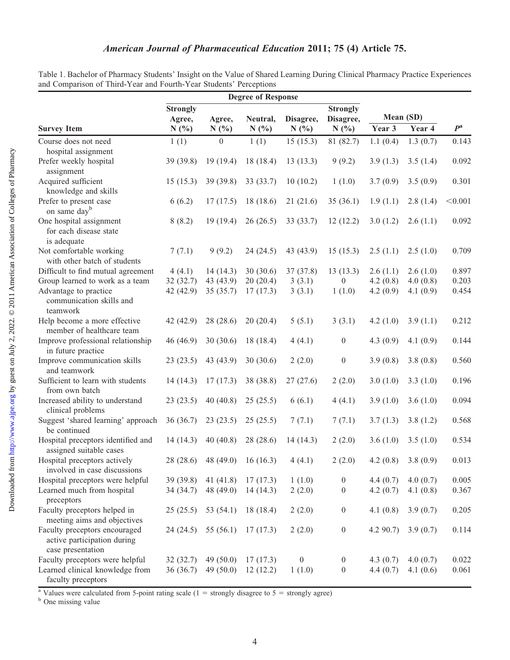|                                                  | <b>Degree of Response</b> |                  |           |                  |                  |             |           |             |
|--------------------------------------------------|---------------------------|------------------|-----------|------------------|------------------|-------------|-----------|-------------|
|                                                  | <b>Strongly</b>           |                  |           |                  | <b>Strongly</b>  |             |           |             |
|                                                  | Agree,                    | Agree,           | Neutral,  | Disagree,        | Disagree,        |             | Mean (SD) |             |
| <b>Survey Item</b>                               | N(%)                      | N(%)             | N(%)      | N(%)             | N(%)             | Year 3      | Year 4    | $P^{\rm a}$ |
| Course does not need                             | 1(1)                      | $\boldsymbol{0}$ | 1(1)      | 15(15.3)         | 81 (82.7)        | 1.1(0.4)    | 1.3(0.7)  | 0.143       |
| hospital assignment                              |                           |                  |           |                  |                  |             |           |             |
| Prefer weekly hospital                           | 39 (39.8)                 | 19(19.4)         | 18(18.4)  | 13(13.3)         | 9(9.2)           | 3.9(1.3)    | 3.5(1.4)  | 0.092       |
| assignment                                       |                           |                  |           |                  |                  |             |           |             |
| Acquired sufficient                              | 15(15.3)                  | 39 (39.8)        | 33 (33.7) | 10(10.2)         | 1(1.0)           | 3.7(0.9)    | 3.5(0.9)  | 0.301       |
| knowledge and skills                             |                           |                  |           |                  |                  |             |           |             |
| Prefer to present case                           | 6(6.2)                    | 17(17.5)         | 18(18.6)  | 21(21.6)         | 35(36.1)         | 1.9(1.1)    | 2.8(1.4)  | < 0.001     |
| on same day <sup>b</sup>                         |                           |                  |           |                  |                  |             |           |             |
| One hospital assignment                          | 8(8.2)                    | 19(19.4)         | 26(26.5)  | 33(33.7)         | 12(12.2)         | 3.0(1.2)    | 2.6(1.1)  | 0.092       |
| for each disease state                           |                           |                  |           |                  |                  |             |           |             |
| is adequate                                      |                           |                  |           |                  |                  |             |           |             |
| Not comfortable working                          | 7(7.1)                    | 9(9.2)           | 24(24.5)  | 43 (43.9)        | 15(15.3)         | 2.5(1.1)    | 2.5(1.0)  | 0.709       |
| with other batch of students                     |                           |                  |           |                  |                  |             |           |             |
| Difficult to find mutual agreement               | 4(4.1)                    | 14(14.3)         | 30(30.6)  | 37(37.8)         | 13(13.3)         | 2.6(1.1)    | 2.6(1.0)  | 0.897       |
| Group learned to work as a team                  | 32(32.7)                  | 43 (43.9)        | 20(20.4)  | 3(3.1)           | $\overline{0}$   | 4.2(0.8)    | 4.0(0.8)  | 0.203       |
| Advantage to practice                            | 42 (42.9)                 | 35(35.7)         | 17(17.3)  | 3(3.1)           | 1(1.0)           | 4.2(0.9)    | 4.1(0.9)  | 0.454       |
| communication skills and<br>teamwork             |                           |                  |           |                  |                  |             |           |             |
| Help become a more effective                     | 42 (42.9)                 | 28(28.6)         | 20(20.4)  | 5(5.1)           | 3(3.1)           | 4.2 $(1.0)$ | 3.9(1.1)  | 0.212       |
| member of healthcare team                        |                           |                  |           |                  |                  |             |           |             |
| Improve professional relationship                | 46 (46.9)                 | 30(30.6)         | 18 (18.4) | 4(4.1)           | $\boldsymbol{0}$ | 4.3(0.9)    | 4.1(0.9)  | 0.144       |
| in future practice                               |                           |                  |           |                  |                  |             |           |             |
| Improve communication skills                     | 23(23.5)                  | 43 (43.9)        | 30(30.6)  | 2(2.0)           | $\boldsymbol{0}$ | 3.9(0.8)    | 3.8(0.8)  | 0.560       |
| and teamwork                                     |                           |                  |           |                  |                  |             |           |             |
| Sufficient to learn with students                | 14(14.3)                  | 17(17.3)         | 38 (38.8) | 27(27.6)         | 2(2.0)           | 3.0(1.0)    | 3.3(1.0)  | 0.196       |
| from own batch                                   |                           |                  |           |                  |                  |             |           |             |
| Increased ability to understand                  | 23(23.5)                  | 40(40.8)         | 25(25.5)  | 6(6.1)           | 4(4.1)           | 3.9(1.0)    | 3.6(1.0)  | 0.094       |
| clinical problems                                |                           |                  |           |                  |                  |             |           |             |
| Suggest 'shared learning' approach               | 36(36.7)                  | 23(23.5)         | 25(25.5)  | 7(7.1)           | 7(7.1)           | 3.7(1.3)    | 3.8(1.2)  | 0.568       |
| be continued                                     |                           |                  |           |                  |                  |             |           |             |
| Hospital preceptors identified and               | 14(14.3)                  | 40(40.8)         | 28(28.6)  | 14(14.3)         | 2(2.0)           | 3.6(1.0)    | 3.5(1.0)  | 0.534       |
| assigned suitable cases                          |                           |                  |           |                  |                  |             |           |             |
| Hospital preceptors actively                     | 28 (28.6)                 | 48 (49.0)        | 16(16.3)  | 4(4.1)           | 2(2.0)           | 4.2(0.8)    | 3.8(0.9)  | 0.013       |
| involved in case discussions                     |                           |                  |           |                  |                  |             |           |             |
| Hospital preceptors were helpful                 | 39 (39.8)                 | 41 $(41.8)$      | 17(17.3)  | 1(1.0)           | $\theta$         | 4.4(0.7)    | 4.0(0.7)  | 0.005       |
| Learned much from hospital                       | 34 (34.7)                 | 48 (49.0)        | 14(14.3)  | 2(2.0)           | $\theta$         | 4.2(0.7)    | 4.1(0.8)  | 0.367       |
| preceptors                                       |                           |                  |           |                  |                  |             |           |             |
| Faculty preceptors helped in                     | 25(25.5)                  | 53 (54.1)        | 18 (18.4) | 2(2.0)           | $\boldsymbol{0}$ | 4.1(0.8)    | 3.9(0.7)  | 0.205       |
| meeting aims and objectives                      |                           |                  |           |                  |                  |             |           |             |
| Faculty preceptors encouraged                    | 24(24.5)                  | 55 (56.1)        | 17(17.3)  | 2(2.0)           | $\boldsymbol{0}$ | 4.290.7     | 3.9(0.7)  | 0.114       |
| active participation during<br>case presentation |                           |                  |           |                  |                  |             |           |             |
| Faculty preceptors were helpful                  | 32(32.7)                  | 49 $(50.0)$      | 17(17.3)  | $\boldsymbol{0}$ | $\boldsymbol{0}$ | 4.3(0.7)    | 4.0(0.7)  | 0.022       |
| Learned clinical knowledge from                  | 36(36.7)                  | 49 $(50.0)$      | 12(12.2)  | 1(1.0)           | $\boldsymbol{0}$ | 4.4(0.7)    | 4.1(0.6)  | 0.061       |
| faculty preceptors                               |                           |                  |           |                  |                  |             |           |             |

Table 1. Bachelor of Pharmacy Students' Insight on the Value of Shared Learning During Clinical Pharmacy Practice Experiences and Comparison of Third-Year and Fourth-Year Students' Perceptions

<sup>a</sup> Values were calculated from 5-point rating scale (1 = strongly disagree to 5 = strongly agree) <sup>b</sup> One missing value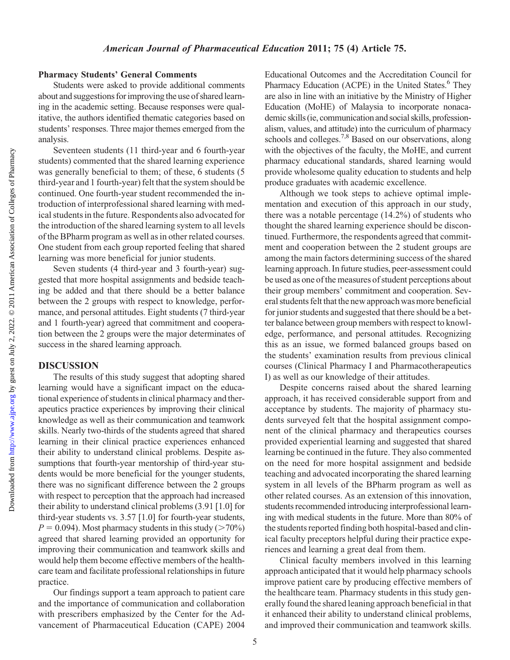Downloaded from

#### Pharmacy Students' General Comments

Students were asked to provide additional comments about and suggestions for improving the use of shared learning in the academic setting. Because responses were qualitative, the authors identified thematic categories based on students' responses. Three major themes emerged from the analysis.

Seventeen students (11 third-year and 6 fourth-year students) commented that the shared learning experience was generally beneficial to them; of these, 6 students (5 third-year and 1 fourth-year) felt that the system should be continued. One fourth-year student recommended the introduction of interprofessional shared learning with medical students in the future. Respondents also advocated for the introduction of the shared learning system to all levels of the BPharm program as well as in other related courses. One student from each group reported feeling that shared learning was more beneficial for junior students.

Seven students (4 third-year and 3 fourth-year) suggested that more hospital assignments and bedside teaching be added and that there should be a better balance between the 2 groups with respect to knowledge, performance, and personal attitudes. Eight students (7 third-year and 1 fourth-year) agreed that commitment and cooperation between the 2 groups were the major determinates of success in the shared learning approach.

#### DISCUSSION

The results of this study suggest that adopting shared learning would have a significant impact on the educational experience of students in clinical pharmacy and therapeutics practice experiences by improving their clinical knowledge as well as their communication and teamwork skills. Nearly two-thirds of the students agreed that shared learning in their clinical practice experiences enhanced their ability to understand clinical problems. Despite assumptions that fourth-year mentorship of third-year students would be more beneficial for the younger students, there was no significant difference between the 2 groups with respect to perception that the approach had increased their ability to understand clinical problems (3.91 [1.0] for third-year students vs. 3.57 [1.0] for fourth-year students,  $P = 0.094$ ). Most pharmacy students in this study ( $> 70\%$ ) agreed that shared learning provided an opportunity for improving their communication and teamwork skills and would help them become effective members of the healthcare team and facilitate professional relationships in future practice.

Our findings support a team approach to patient care and the importance of communication and collaboration with prescribers emphasized by the Center for the Advancement of Pharmaceutical Education (CAPE) 2004

Educational Outcomes and the Accreditation Council for Pharmacy Education (ACPE) in the United States.<sup>6</sup> They are also in line with an initiative by the Ministry of Higher Education (MoHE) of Malaysia to incorporate nonacademic skills (ie, communication and social skills, professionalism, values, and attitude) into the curriculum of pharmacy schools and colleges.<sup>7,8</sup> Based on our observations, along with the objectives of the faculty, the MoHE, and current pharmacy educational standards, shared learning would provide wholesome quality education to students and help produce graduates with academic excellence.

Although we took steps to achieve optimal implementation and execution of this approach in our study, there was a notable percentage (14.2%) of students who thought the shared learning experience should be discontinued. Furthermore, the respondents agreed that commitment and cooperation between the 2 student groups are among the main factors determining success of the shared learning approach. In future studies, peer-assessment could be used as one of the measures of student perceptions about their group members' commitment and cooperation. Several students felt that the new approach was more beneficial for junior students and suggested that there should be a better balance between group members with respect to knowledge, performance, and personal attitudes. Recognizing this as an issue, we formed balanced groups based on the students' examination results from previous clinical courses (Clinical Pharmacy I and Pharmacotherapeutics I) as well as our knowledge of their attitudes.

Despite concerns raised about the shared learning approach, it has received considerable support from and acceptance by students. The majority of pharmacy students surveyed felt that the hospital assignment component of the clinical pharmacy and therapeutics courses provided experiential learning and suggested that shared learning be continued in the future. They also commented on the need for more hospital assignment and bedside teaching and advocated incorporating the shared learning system in all levels of the BPharm program as well as other related courses. As an extension of this innovation, students recommended introducing interprofessional learning with medical students in the future. More than 80% of the students reported finding both hospital-based and clinical faculty preceptors helpful during their practice experiences and learning a great deal from them.

Clinical faculty members involved in this learning approach anticipated that it would help pharmacy schools improve patient care by producing effective members of the healthcare team. Pharmacy students in this study generally found the shared leaning approach beneficial in that it enhanced their ability to understand clinical problems, and improved their communication and teamwork skills.